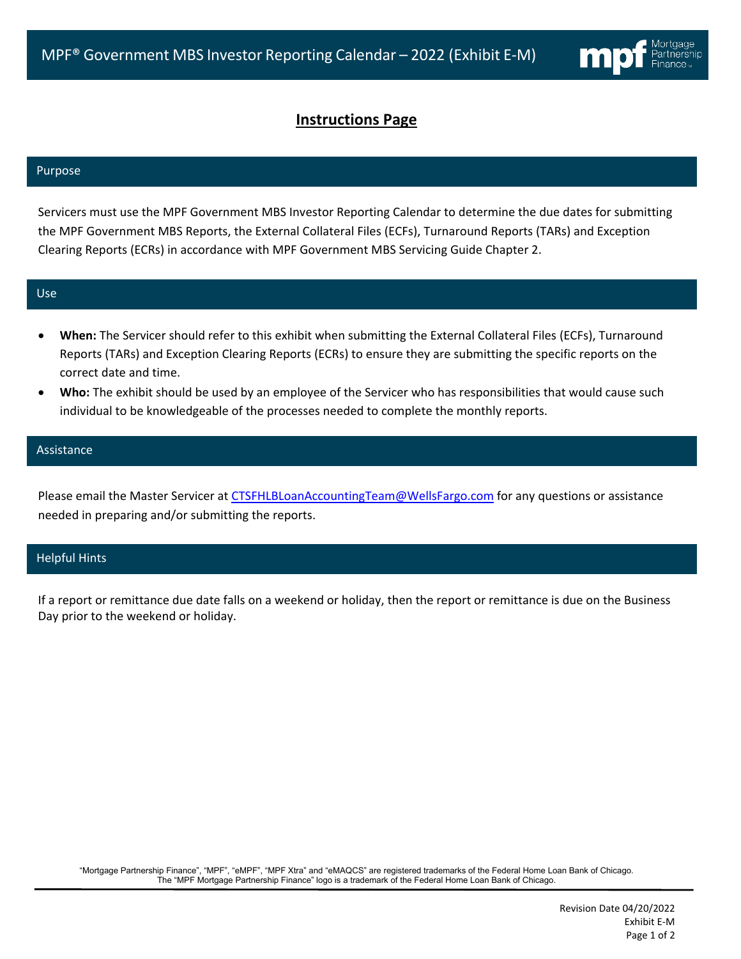

# **Instructions Page**

## Purpose

Servicers must use the MPF Government MBS Investor Reporting Calendar to determine the due dates for submitting the MPF Government MBS Reports, the External Collateral Files (ECFs), Turnaround Reports (TARs) and Exception Clearing Reports (ECRs) in accordance with MPF Government MBS Servicing Guide Chapter 2.

#### Use

- **When:** The Servicer should refer to this exhibit when submitting the External Collateral Files (ECFs), Turnaround Reports (TARs) and Exception Clearing Reports (ECRs) to ensure they are submitting the specific reports on the correct date and time.
- **Who:** The exhibit should be used by an employee of the Servicer who has responsibilities that would cause such individual to be knowledgeable of the processes needed to complete the monthly reports.

#### Assistance

Please email the Master Servicer at [CTSFHLBLoanAccountingTeam@WellsFargo.com](mailto:CTSFHLBLoanAccountingTeam@WellsFargo.com) for any questions or assistance needed in preparing and/or submitting the reports.

### Helpful Hints

If a report or remittance due date falls on a weekend or holiday, then the report or remittance is due on the Business Day prior to the weekend or holiday.

"Mortgage Partnership Finance", "MPF", "eMPF", "MPF Xtra" and "eMAQCS" are registered trademarks of the Federal Home Loan Bank of Chicago. The "MPF Mortgage Partnership Finance" logo is a trademark of the Federal Home Loan Bank of Chicago.